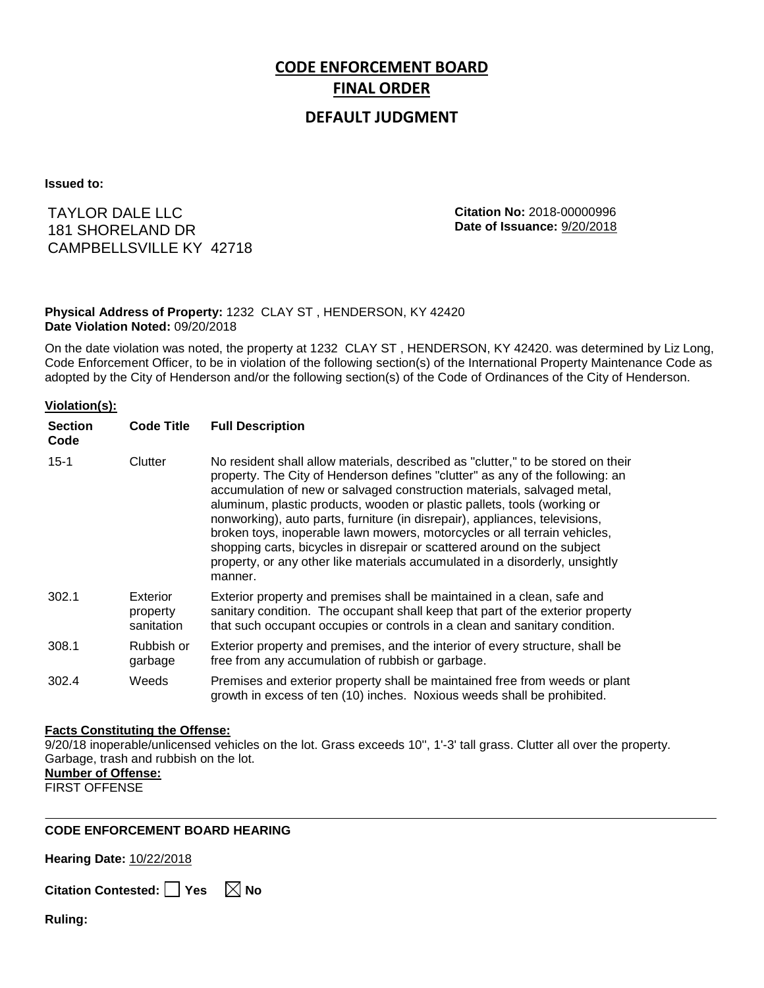# **CODE ENFORCEMENT BOARD FINAL ORDER**

## **DEFAULT JUDGMENT**

**Issued to:**

TAYLOR DALE LLC 181 SHORELAND DR CAMPBELLSVILLE KY 42718 **Citation No:** 2018-00000996 **Date of Issuance:** 9/20/2018

### **Physical Address of Property:** 1232 CLAY ST , HENDERSON, KY 42420 **Date Violation Noted:** 09/20/2018

On the date violation was noted, the property at 1232 CLAY ST , HENDERSON, KY 42420. was determined by Liz Long, Code Enforcement Officer, to be in violation of the following section(s) of the International Property Maintenance Code as adopted by the City of Henderson and/or the following section(s) of the Code of Ordinances of the City of Henderson.

#### **Violation(s):**

| <b>Section</b><br>Code | <b>Code Title</b>                  | <b>Full Description</b>                                                                                                                                                                                                                                                                                                                                                                                                                                                                                                                                                                                                                                     |
|------------------------|------------------------------------|-------------------------------------------------------------------------------------------------------------------------------------------------------------------------------------------------------------------------------------------------------------------------------------------------------------------------------------------------------------------------------------------------------------------------------------------------------------------------------------------------------------------------------------------------------------------------------------------------------------------------------------------------------------|
| $15 - 1$               | Clutter                            | No resident shall allow materials, described as "clutter," to be stored on their<br>property. The City of Henderson defines "clutter" as any of the following: an<br>accumulation of new or salvaged construction materials, salvaged metal,<br>aluminum, plastic products, wooden or plastic pallets, tools (working or<br>nonworking), auto parts, furniture (in disrepair), appliances, televisions,<br>broken toys, inoperable lawn mowers, motorcycles or all terrain vehicles,<br>shopping carts, bicycles in disrepair or scattered around on the subject<br>property, or any other like materials accumulated in a disorderly, unsightly<br>manner. |
| 302.1                  | Exterior<br>property<br>sanitation | Exterior property and premises shall be maintained in a clean, safe and<br>sanitary condition. The occupant shall keep that part of the exterior property<br>that such occupant occupies or controls in a clean and sanitary condition.                                                                                                                                                                                                                                                                                                                                                                                                                     |
| 308.1                  | Rubbish or<br>garbage              | Exterior property and premises, and the interior of every structure, shall be<br>free from any accumulation of rubbish or garbage.                                                                                                                                                                                                                                                                                                                                                                                                                                                                                                                          |
| 302.4                  | Weeds                              | Premises and exterior property shall be maintained free from weeds or plant<br>growth in excess of ten (10) inches. Noxious weeds shall be prohibited.                                                                                                                                                                                                                                                                                                                                                                                                                                                                                                      |

#### **Facts Constituting the Offense:**

9/20/18 inoperable/unlicensed vehicles on the lot. Grass exceeds 10'', 1'-3' tall grass. Clutter all over the property. Garbage, trash and rubbish on the lot.

### **Number of Offense:**

FIRST OFFENSE

#### **CODE ENFORCEMENT BOARD HEARING**

**Hearing Date:** 10/22/2018

**Citation Contested:** □ Yes  $\ \ \mathbb{\times}$  No

**Ruling:**